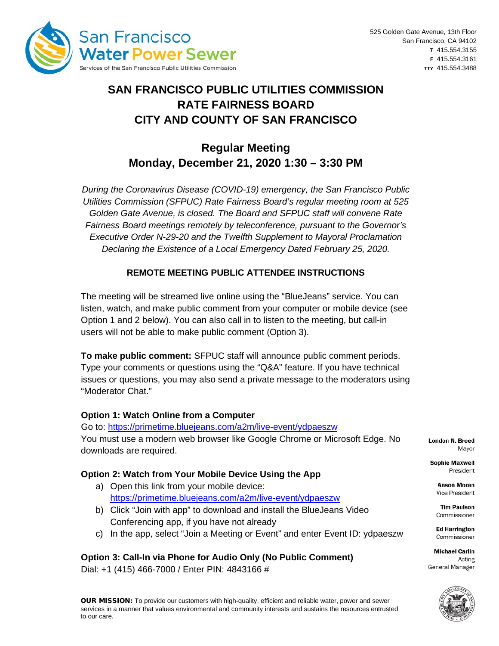

# **SAN FRANCISCO PUBLIC UTILITIES COMMISSION RATE FAIRNESS BOARD CITY AND COUNTY OF SAN FRANCISCO**

# **Regular Meeting Monday, December 21, 2020 1:30 – 3:30 PM**

*During the Coronavirus Disease (COVID-19) emergency, the San Francisco Public Utilities Commission (SFPUC) Rate Fairness Board's regular meeting room at 525 Golden Gate Avenue, is closed. The Board and SFPUC staff will convene Rate Fairness Board meetings remotely by teleconference, pursuant to the Governor's Executive Order N-29-20 and the Twelfth Supplement to Mayoral Proclamation Declaring the Existence of a Local Emergency Dated February 25, 2020.*

### **REMOTE MEETING PUBLIC ATTENDEE INSTRUCTIONS**

The meeting will be streamed live online using the "BlueJeans" service. You can listen, watch, and make public comment from your computer or mobile device (see Option 1 and 2 below). You can also call in to listen to the meeting, but call-in users will not be able to make public comment (Option 3).

**To make public comment:** SFPUC staff will announce public comment periods. Type your comments or questions using the "Q&A" feature. If you have technical issues or questions, you may also send a private message to the moderators using "Moderator Chat."

### **Option 1: Watch Online from a Computer**

Go to:<https://primetime.bluejeans.com/a2m/live-event/ydpaeszw> You must use a modern web browser like Google Chrome or Microsoft Edge. No downloads are required.

#### **Option 2: Watch from Your Mobile Device Using the App**

- a) Open this link from your mobile device: <https://primetime.bluejeans.com/a2m/live-event/ydpaeszw>
- b) Click "Join with app" to download and install the BlueJeans Video Conferencing app, if you have not already
- c) In the app, select "Join a Meeting or Event" and enter Event ID: ydpaeszw

# **Option 3: Call-In via Phone for Audio Only (No Public Comment)**

Dial: +1 (415) 466-7000 / Enter PIN: 4843166 #

**London N. Breed** Mavor

**Sophie Maxwell** President

> **Anson Moran** Vice President

**Tim Paulson** Commissioner

**Ed Harrington** Commissioner

**Michael Carlin** Acting General Manager

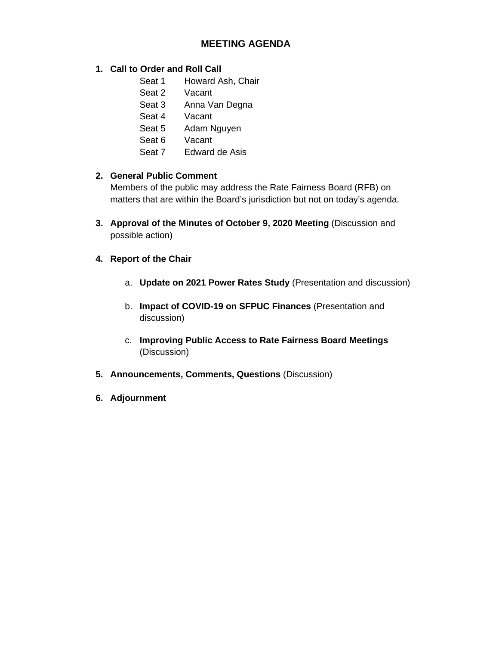## **MEETING AGENDA**

#### **1. Call to Order and Roll Call**

- Seat 1 Howard Ash, Chair
- Seat 2 Vacant
- Seat 3 Anna Van Degna
- Seat 4 Vacant
- Seat 5 Adam Nguyen
- Seat 6 Vacant
- Seat 7 Edward de Asis

#### **2. General Public Comment**

Members of the public may address the Rate Fairness Board (RFB) on matters that are within the Board's jurisdiction but not on today's agenda.

- **3. Approval of the Minutes of October 9, 2020 Meeting** (Discussion and possible action)
- **4. Report of the Chair**
	- a. **Update on 2021 Power Rates Study** (Presentation and discussion)
	- b. **Impact of COVID-19 on SFPUC Finances** (Presentation and discussion)
	- c. **Improving Public Access to Rate Fairness Board Meetings** (Discussion)
- **5. Announcements, Comments, Questions** (Discussion)
- **6. Adjournment**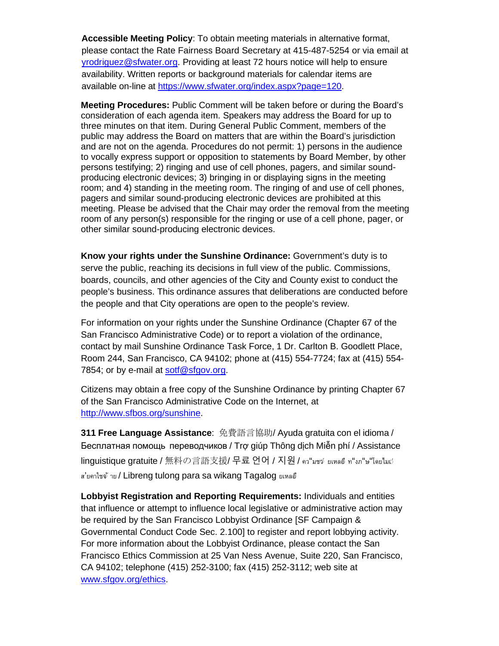**Accessible Meeting Policy**: To obtain meeting materials in alternative format, please contact the Rate Fairness Board Secretary at 415-487-5254 or via email at [yrodriguez@sfwater.org.](mailto:yrodriguez@sfwater.org) Providing at least 72 hours notice will help to ensure availability. Written reports or background materials for calendar items are available on-line at [https://www.sfwater.org/index.aspx?page=120.](https://www.sfwater.org/index.aspx?page=120)

**Meeting Procedures:** Public Comment will be taken before or during the Board's consideration of each agenda item. Speakers may address the Board for up to three minutes on that item. During General Public Comment, members of the public may address the Board on matters that are within the Board's jurisdiction and are not on the agenda. Procedures do not permit: 1) persons in the audience to vocally express support or opposition to statements by Board Member, by other persons testifying; 2) ringing and use of cell phones, pagers, and similar soundproducing electronic devices; 3) bringing in or displaying signs in the meeting room; and 4) standing in the meeting room. The ringing of and use of cell phones, pagers and similar sound-producing electronic devices are prohibited at this meeting. Please be advised that the Chair may order the removal from the meeting room of any person(s) responsible for the ringing or use of a cell phone, pager, or other similar sound-producing electronic devices.

**Know your rights under the Sunshine Ordinance:** Government's duty is to serve the public, reaching its decisions in full view of the public. Commissions, boards, councils, and other agencies of the City and County exist to conduct the people's business. This ordinance assures that deliberations are conducted before the people and that City operations are open to the people's review.

For information on your rights under the Sunshine Ordinance (Chapter 67 of the San Francisco Administrative Code) or to report a violation of the ordinance, contact by mail Sunshine Ordinance Task Force, 1 Dr. Carlton B. Goodlett Place, Room 244, San Francisco, CA 94102; phone at (415) 554-7724; fax at (415) 554 7854; or by e-mail at [sotf@sfgov.org.](mailto:sotf@sfgov.org)

Citizens may obtain a free copy of the Sunshine Ordinance by printing Chapter 67 of the San Francisco Administrative Code on the Internet, at [http://www.sfbos.org/sunshine.](http://www.sfbos.org/sunshine)

**311 Free Language Assistance**: 免費語言協助/ Ayuda gratuita con el idioma / Бесплатная помощь переводчиков / Trợ giúp Thông dịch Miễn phí / Assistance linguistique gratuite / 無料の言語支援/ 무료 언어 / 지원 / คว"มชฺจํ ยเหลอํ ท"งภ"ษ"โดยไม๘ ส'ยคาใชจ้ าย / Libreng tulong para sa wikang Tagalog ยเหลอื

**Lobbyist Registration and Reporting Requirements:** Individuals and entities that influence or attempt to influence local legislative or administrative action may be required by the San Francisco Lobbyist Ordinance [SF Campaign & Governmental Conduct Code Sec. 2.100] to register and report lobbying activity. For more information about the Lobbyist Ordinance, please contact the San Francisco Ethics Commission at 25 Van Ness Avenue, Suite 220, San Francisco, CA 94102; telephone (415) 252-3100; fax (415) 252-3112; web site at [www.sfgov.org/ethics.](http://www.sfgov.org/ethics)